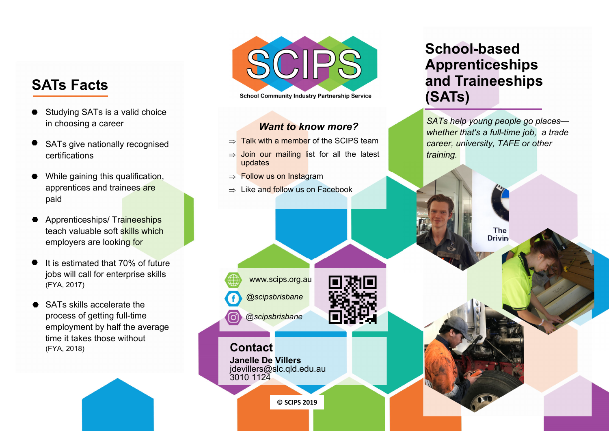# **SATs Facts**

- Studying SATs is a valid choice in choosing a career
- SATs give nationally recognised certifications
- While gaining this qualification, apprentices and trainees are paid
- Apprenticeships/ Traineeships teach valuable soft skills which employers are looking for
- It is estimated that 70% of future jobs will call for enterprise skills (FYA, 2017)
- SATs skills accelerate the process of getting full-time employment by half the average time it takes those without (FYA, 2018)



**School Community Industry Partnership Service** 

#### *Want to know more?*

- $\Rightarrow$  Talk with a member of the SCIPS team .
- $\Rightarrow$  Join our mailing list for all the latest updates
- $\Rightarrow$  Follow us on Instagram
- $\Rightarrow$  Like and follow us on Facebook.

*@scipsbrisbane* 

*@scipsbrisbane* 

www.scips.org.au

**Contact**

**Janelle De Villers**  jdevillers@slc.qld.edu.au 3010 1124

**© SCIPS 2019** 

# **School-based Apprenticeships and Traineeships (SATs)**

*SATs help young people go places whether that's a full-time job, a trade career, university, TAFE or other training.* 

> The **Drivin**